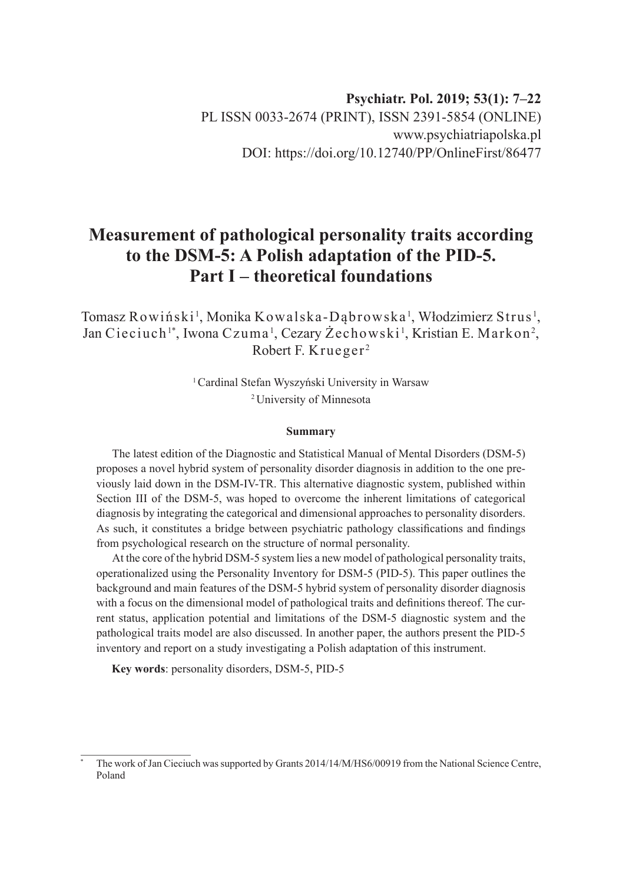# **Psychiatr. Pol. 2019; 53(1): 7–22** PL ISSN 0033-2674 (PRINT), ISSN 2391-5854 (ONLINE) www.psychiatriapolska.pl DOI: https://doi.org/10.12740/PP/OnlineFirst/86477

# **Measurement of pathological personality traits according to the DSM-5: A Polish adaptation of the PID-5. Part I – theoretical foundations**

Tomasz Rowiński<sup>1</sup>, Monika Kowalska-Dąbrowska<sup>1</sup>, Włodzimierz Strus<sup>1</sup>, Jan Cieciuch'\*, Iwona Czuma', Cezary Żechowski', Kristian E. Markon<sup>2</sup>, Robert F. Krueger <sup>2</sup>

> <sup>1</sup>Cardinal Stefan Wyszyński University in Warsaw <sup>2</sup>University of Minnesota

#### **Summary**

The latest edition of the Diagnostic and Statistical Manual of Mental Disorders (DSM-5) proposes a novel hybrid system of personality disorder diagnosis in addition to the one previously laid down in the DSM-IV-TR. This alternative diagnostic system, published within Section III of the DSM-5, was hoped to overcome the inherent limitations of categorical diagnosis by integrating the categorical and dimensional approaches to personality disorders. As such, it constitutes a bridge between psychiatric pathology classifications and findings from psychological research on the structure of normal personality.

At the core of the hybrid DSM-5 system lies a new model of pathological personality traits, operationalized using the Personality Inventory for DSM-5 (PID-5). This paper outlines the background and main features of the DSM-5 hybrid system of personality disorder diagnosis with a focus on the dimensional model of pathological traits and definitions thereof. The current status, application potential and limitations of the DSM-5 diagnostic system and the pathological traits model are also discussed. In another paper, the authors present the PID‑5 inventory and report on a study investigating a Polish adaptation of this instrument.

**Key words**: personality disorders, DSM-5, PID-5

The work of Jan Cieciuch was supported by Grants 2014/14/M/HS6/00919 from the National Science Centre, Poland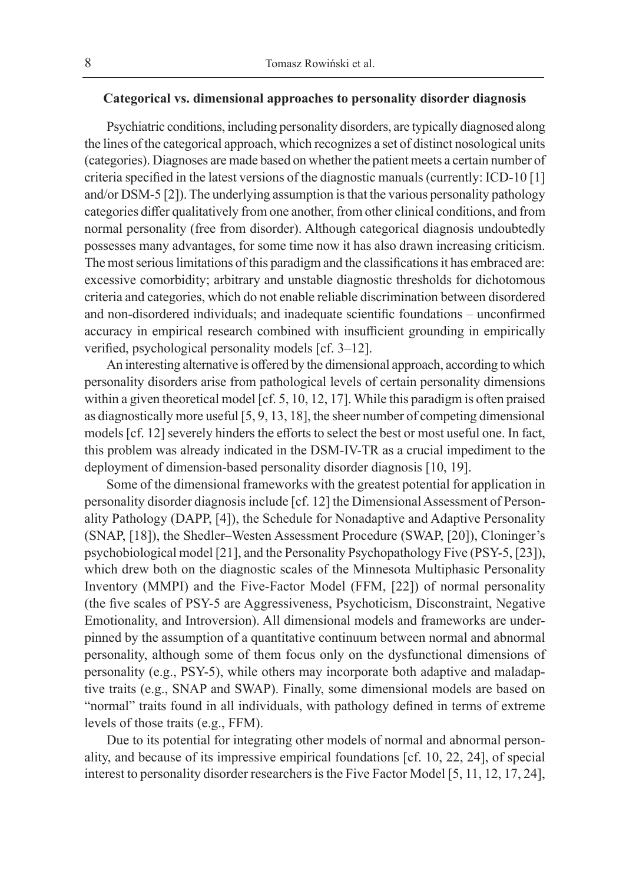## **Categorical vs. dimensional approaches to personality disorder diagnosis**

Psychiatric conditions, including personality disorders, are typically diagnosed along the lines of the categorical approach, which recognizes a set of distinct nosological units (categories). Diagnoses are made based on whether the patient meets a certain number of criteria specified in the latest versions of the diagnostic manuals (currently: ICD-10 [1] and/or DSM-5 [2]). The underlying assumption is that the various personality pathology categories differ qualitatively from one another, from other clinical conditions, and from normal personality (free from disorder). Although categorical diagnosis undoubtedly possesses many advantages, for some time now it has also drawn increasing criticism. The most serious limitations of this paradigm and the classifications it has embraced are: excessive comorbidity; arbitrary and unstable diagnostic thresholds for dichotomous criteria and categories, which do not enable reliable discrimination between disordered and non-disordered individuals; and inadequate scientific foundations – unconfirmed accuracy in empirical research combined with insufficient grounding in empirically verified, psychological personality models [cf. 3–12].

An interesting alternative is offered by the dimensional approach, according to which personality disorders arise from pathological levels of certain personality dimensions within a given theoretical model [cf. 5, 10, 12, 17]. While this paradigm is often praised as diagnostically more useful [5, 9, 13, 18], the sheer number of competing dimensional models [cf. 12] severely hinders the efforts to select the best or most useful one. In fact, this problem was already indicated in the DSM-IV-TR as a crucial impediment to the deployment of dimension-based personality disorder diagnosis [10, 19].

Some of the dimensional frameworks with the greatest potential for application in personality disorder diagnosis include [cf. 12] the Dimensional Assessment of Personality Pathology (DAPP, [4]), the Schedule for Nonadaptive and Adaptive Personality (SNAP, [18]), the Shedler–Westen Assessment Procedure (SWAP, [20]), Cloninger's psychobiological model [21], and the Personality Psychopathology Five (PSY-5, [23]), which drew both on the diagnostic scales of the Minnesota Multiphasic Personality Inventory (MMPI) and the Five-Factor Model (FFM, [22]) of normal personality (the five scales of PSY-5 are Aggressiveness, Psychoticism, Disconstraint, Negative Emotionality, and Introversion). All dimensional models and frameworks are underpinned by the assumption of a quantitative continuum between normal and abnormal personality, although some of them focus only on the dysfunctional dimensions of personality (e.g., PSY-5), while others may incorporate both adaptive and maladaptive traits (e.g., SNAP and SWAP). Finally, some dimensional models are based on "normal" traits found in all individuals, with pathology defined in terms of extreme levels of those traits (e.g., FFM).

Due to its potential for integrating other models of normal and abnormal personality, and because of its impressive empirical foundations [cf. 10, 22, 24], of special interest to personality disorder researchers is the Five Factor Model [5, 11, 12, 17, 24],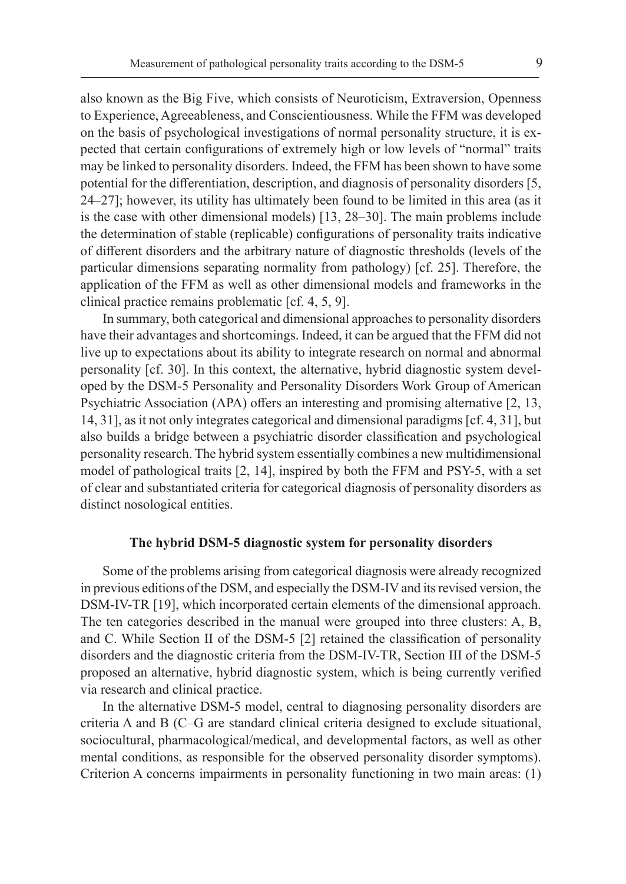also known as the Big Five, which consists of Neuroticism, Extraversion, Openness to Experience, Agreeableness, and Conscientiousness. While the FFM was developed on the basis of psychological investigations of normal personality structure, it is expected that certain configurations of extremely high or low levels of "normal" traits may be linked to personality disorders. Indeed, the FFM has been shown to have some potential for the differentiation, description, and diagnosis of personality disorders [5, 24–27]; however, its utility has ultimately been found to be limited in this area (as it is the case with other dimensional models) [13, 28–30]. The main problems include the determination of stable (replicable) configurations of personality traits indicative of different disorders and the arbitrary nature of diagnostic thresholds (levels of the particular dimensions separating normality from pathology) [cf. 25]. Therefore, the application of the FFM as well as other dimensional models and frameworks in the clinical practice remains problematic [cf. 4, 5, 9].

In summary, both categorical and dimensional approaches to personality disorders have their advantages and shortcomings. Indeed, it can be argued that the FFM did not live up to expectations about its ability to integrate research on normal and abnormal personality [cf. 30]. In this context, the alternative, hybrid diagnostic system developed by the DSM-5 Personality and Personality Disorders Work Group of American Psychiatric Association (APA) offers an interesting and promising alternative [2, 13, 14, 31], as it not only integrates categorical and dimensional paradigms [cf. 4, 31], but also builds a bridge between a psychiatric disorder classification and psychological personality research. The hybrid system essentially combines a new multidimensional model of pathological traits [2, 14], inspired by both the FFM and PSY-5, with a set of clear and substantiated criteria for categorical diagnosis of personality disorders as distinct nosological entities.

#### **The hybrid DSM-5 diagnostic system for personality disorders**

Some of the problems arising from categorical diagnosis were already recognized in previous editions of the DSM, and especially the DSM-IV and its revised version, the DSM-IV-TR [19], which incorporated certain elements of the dimensional approach. The ten categories described in the manual were grouped into three clusters: A, B, and C. While Section II of the DSM-5 [2] retained the classification of personality disorders and the diagnostic criteria from the DSM-IV-TR, Section III of the DSM-5 proposed an alternative, hybrid diagnostic system, which is being currently verified via research and clinical practice.

In the alternative DSM-5 model, central to diagnosing personality disorders are criteria A and B (C–G are standard clinical criteria designed to exclude situational, sociocultural, pharmacological/medical, and developmental factors, as well as other mental conditions, as responsible for the observed personality disorder symptoms). Criterion A concerns impairments in personality functioning in two main areas: (1)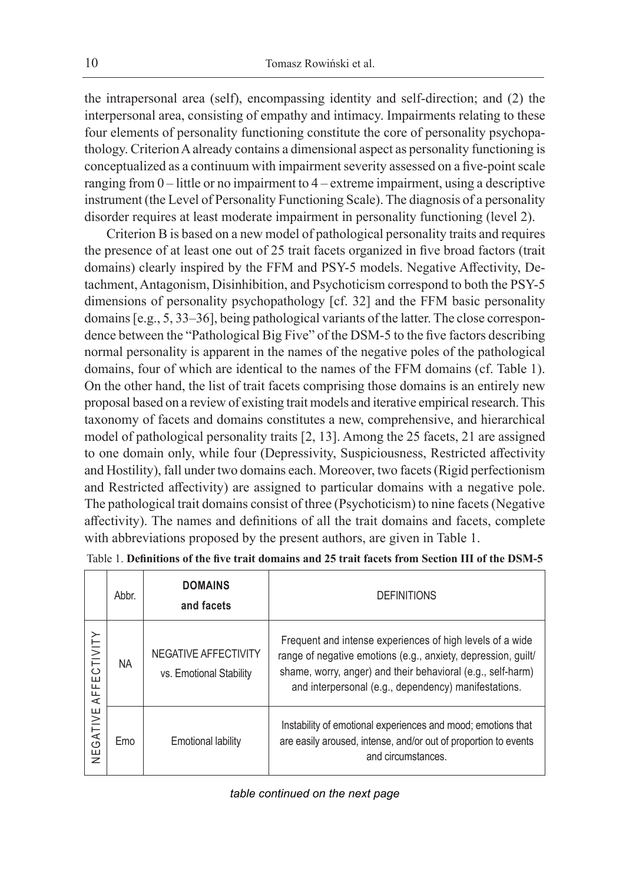the intrapersonal area (self), encompassing identity and self-direction; and (2) the interpersonal area, consisting of empathy and intimacy. Impairments relating to these four elements of personality functioning constitute the core of personality psychopathology. Criterion A already contains a dimensional aspect as personality functioning is conceptualized as a continuum with impairment severity assessed on a five-point scale ranging from 0 – little or no impairment to 4 – extreme impairment, using a descriptive instrument (the Level of Personality Functioning Scale). The diagnosis of a personality disorder requires at least moderate impairment in personality functioning (level 2).

Criterion B is based on a new model of pathological personality traits and requires the presence of at least one out of 25 trait facets organized in five broad factors (trait domains) clearly inspired by the FFM and PSY-5 models. Negative Affectivity, Detachment, Antagonism, Disinhibition, and Psychoticism correspond to both the PSY-5 dimensions of personality psychopathology [cf. 32] and the FFM basic personality domains [e.g., 5, 33–36], being pathological variants of the latter. The close correspondence between the "Pathological Big Five" of the DSM-5 to the five factors describing normal personality is apparent in the names of the negative poles of the pathological domains, four of which are identical to the names of the FFM domains (cf. Table 1). On the other hand, the list of trait facets comprising those domains is an entirely new proposal based on a review of existing trait models and iterative empirical research. This taxonomy of facets and domains constitutes a new, comprehensive, and hierarchical model of pathological personality traits [2, 13]. Among the 25 facets, 21 are assigned to one domain only, while four (Depressivity, Suspiciousness, Restricted affectivity and Hostility), fall under two domains each. Moreover, two facets (Rigid perfectionism and Restricted affectivity) are assigned to particular domains with a negative pole. The pathological trait domains consist of three (Psychoticism) to nine facets (Negative affectivity). The names and definitions of all the trait domains and facets, complete with abbreviations proposed by the present authors, are given in Table 1.

|                                  | Abbr.     | <b>DOMAINS</b><br>and facets                    | <b>DEFINITIONS</b>                                                                                                                                                                                                                                |
|----------------------------------|-----------|-------------------------------------------------|---------------------------------------------------------------------------------------------------------------------------------------------------------------------------------------------------------------------------------------------------|
| CTIVITY<br>巴<br>Æ<br>GATIVE<br>Ψ | <b>NA</b> | NEGATIVE AFFECTIVITY<br>vs. Emotional Stability | Frequent and intense experiences of high levels of a wide<br>range of negative emotions (e.g., anxiety, depression, guilt/<br>shame, worry, anger) and their behavioral (e.g., self-harm)<br>and interpersonal (e.g., dependency) manifestations. |
|                                  | Emo       | Emotional lability                              | Instability of emotional experiences and mood; emotions that<br>are easily aroused, intense, and/or out of proportion to events<br>and circumstances.                                                                                             |

|  |  | Table 1. Definitions of the five trait domains and 25 trait facets from Section III of the DSM-5 |  |  |  |  |
|--|--|--------------------------------------------------------------------------------------------------|--|--|--|--|
|--|--|--------------------------------------------------------------------------------------------------|--|--|--|--|

## *table continued on the next page*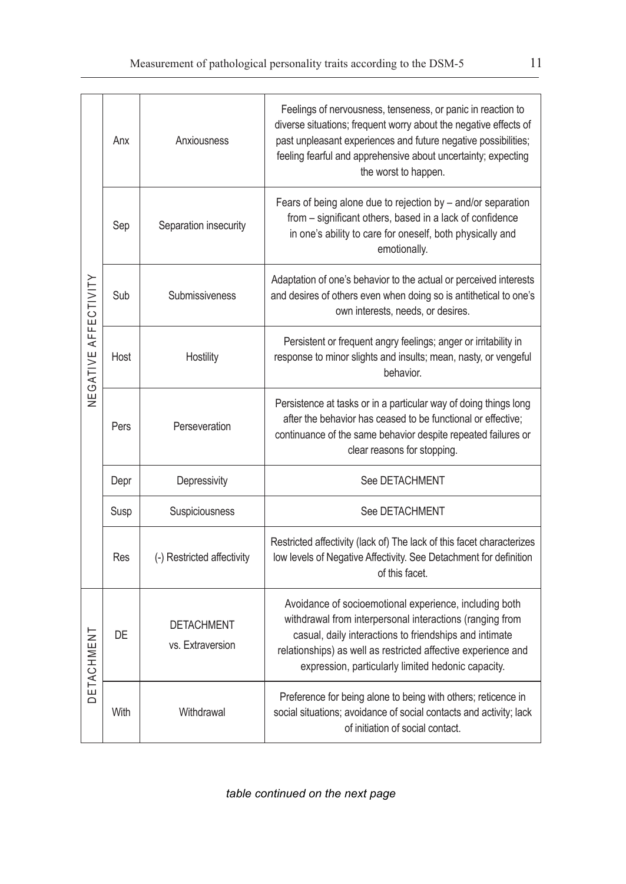| NEGATIVE AFFECTIVITY | Anx  | Anxiousness                           | Feelings of nervousness, tenseness, or panic in reaction to<br>diverse situations; frequent worry about the negative effects of<br>past unpleasant experiences and future negative possibilities;<br>feeling fearful and apprehensive about uncertainty; expecting<br>the worst to happen.          |  |
|----------------------|------|---------------------------------------|-----------------------------------------------------------------------------------------------------------------------------------------------------------------------------------------------------------------------------------------------------------------------------------------------------|--|
|                      | Sep  | Separation insecurity                 | Fears of being alone due to rejection by - and/or separation<br>from - significant others, based in a lack of confidence<br>in one's ability to care for oneself, both physically and<br>emotionally.                                                                                               |  |
|                      | Sub  | Submissiveness                        | Adaptation of one's behavior to the actual or perceived interests<br>and desires of others even when doing so is antithetical to one's<br>own interests, needs, or desires.                                                                                                                         |  |
|                      | Host | Hostility                             | Persistent or frequent angry feelings; anger or irritability in<br>response to minor slights and insults; mean, nasty, or vengeful<br>behavior.                                                                                                                                                     |  |
|                      | Pers | Perseveration                         | Persistence at tasks or in a particular way of doing things long<br>after the behavior has ceased to be functional or effective:<br>continuance of the same behavior despite repeated failures or<br>clear reasons for stopping.                                                                    |  |
|                      | Depr | Depressivity                          | See DETACHMENT                                                                                                                                                                                                                                                                                      |  |
|                      | Susp | Suspiciousness                        | See DETACHMENT                                                                                                                                                                                                                                                                                      |  |
|                      | Res  | (-) Restricted affectivity            | Restricted affectivity (lack of) The lack of this facet characterizes<br>low levels of Negative Affectivity. See Detachment for definition<br>of this facet.                                                                                                                                        |  |
| ETACHMENT            | DE   | <b>DETACHMENT</b><br>vs. Extraversion | Avoidance of socioemotional experience, including both<br>withdrawal from interpersonal interactions (ranging from<br>casual, daily interactions to friendships and intimate<br>relationships) as well as restricted affective experience and<br>expression, particularly limited hedonic capacity. |  |
|                      | With | Withdrawal                            | Preference for being alone to being with others; reticence in<br>social situations; avoidance of social contacts and activity; lack<br>of initiation of social contact.                                                                                                                             |  |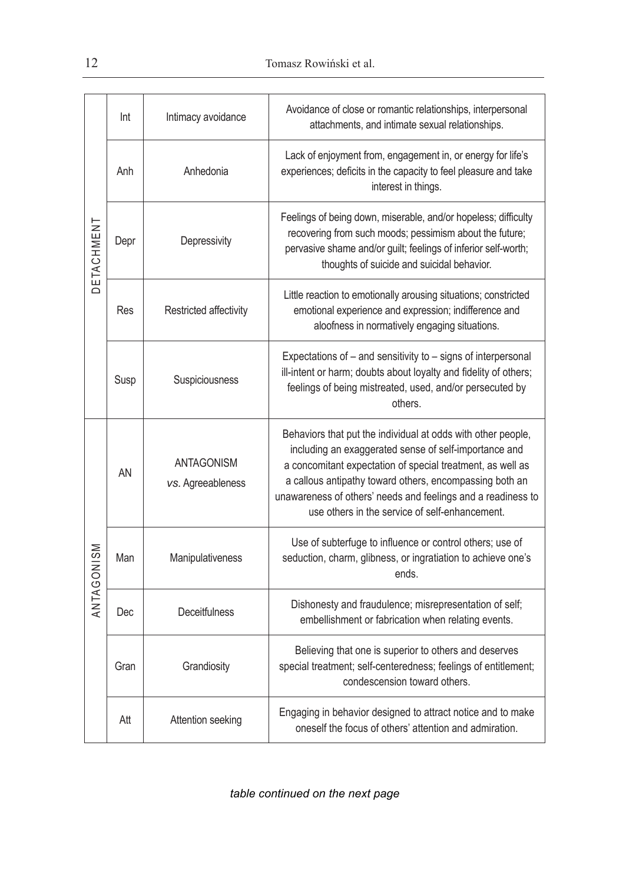|            | Int  | Intimacy avoidance              | Avoidance of close or romantic relationships, interpersonal<br>attachments, and intimate sexual relationships.                                                                                                                                                                                                                                                   |  |
|------------|------|---------------------------------|------------------------------------------------------------------------------------------------------------------------------------------------------------------------------------------------------------------------------------------------------------------------------------------------------------------------------------------------------------------|--|
|            | Anh  | Anhedonia                       | Lack of enjoyment from, engagement in, or energy for life's<br>experiences; deficits in the capacity to feel pleasure and take<br>interest in things.                                                                                                                                                                                                            |  |
| DETACHMENT | Depr | Depressivity                    | Feelings of being down, miserable, and/or hopeless; difficulty<br>recovering from such moods; pessimism about the future;<br>pervasive shame and/or guilt; feelings of inferior self-worth;<br>thoughts of suicide and suicidal behavior.                                                                                                                        |  |
|            | Res  | Restricted affectivity          | Little reaction to emotionally arousing situations; constricted<br>emotional experience and expression; indifference and<br>aloofness in normatively engaging situations.                                                                                                                                                                                        |  |
|            | Susp | Suspiciousness                  | Expectations of - and sensitivity to - signs of interpersonal<br>ill-intent or harm; doubts about loyalty and fidelity of others;<br>feelings of being mistreated, used, and/or persecuted by<br>others.                                                                                                                                                         |  |
|            | AN   | ANTAGONISM<br>vs. Agreeableness | Behaviors that put the individual at odds with other people,<br>including an exaggerated sense of self-importance and<br>a concomitant expectation of special treatment, as well as<br>a callous antipathy toward others, encompassing both an<br>unawareness of others' needs and feelings and a readiness to<br>use others in the service of self-enhancement. |  |
| ANTAGONISM | Man  | Manipulativeness                | Use of subterfuge to influence or control others; use of<br>seduction, charm, glibness, or ingratiation to achieve one's<br>ends.                                                                                                                                                                                                                                |  |
|            | Dec  | <b>Deceitfulness</b>            | Dishonesty and fraudulence; misrepresentation of self;<br>embellishment or fabrication when relating events.                                                                                                                                                                                                                                                     |  |
|            | Gran | Grandiosity                     | Believing that one is superior to others and deserves<br>special treatment; self-centeredness; feelings of entitlement;<br>condescension toward others.                                                                                                                                                                                                          |  |
|            | Att  | Attention seeking               | Engaging in behavior designed to attract notice and to make<br>oneself the focus of others' attention and admiration.                                                                                                                                                                                                                                            |  |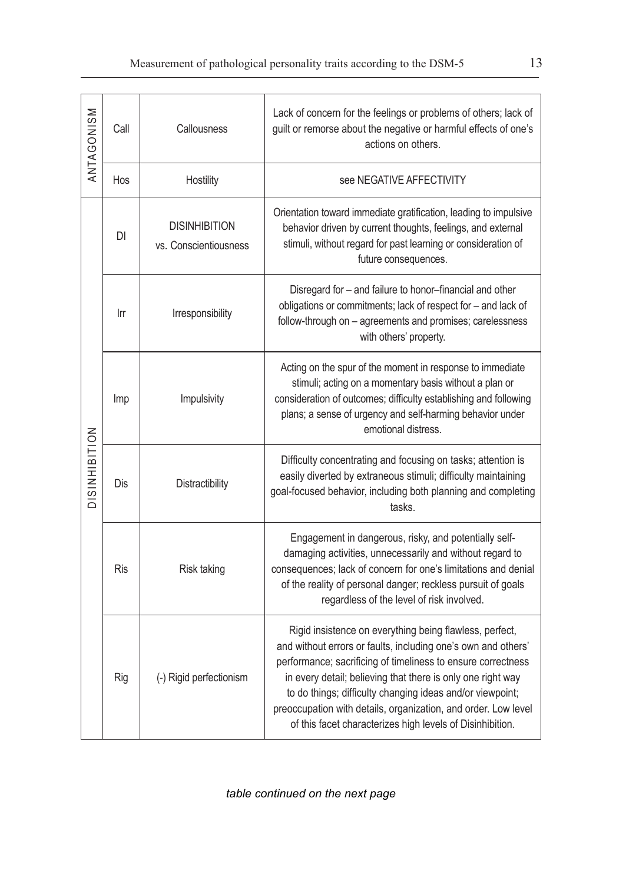| ANTAGONISM    | Call       | Callousness                                   | Lack of concern for the feelings or problems of others; lack of<br>guilt or remorse about the negative or harmful effects of one's<br>actions on others.                                                                                                                                                                                                                                                                                            |  |
|---------------|------------|-----------------------------------------------|-----------------------------------------------------------------------------------------------------------------------------------------------------------------------------------------------------------------------------------------------------------------------------------------------------------------------------------------------------------------------------------------------------------------------------------------------------|--|
|               | Hos        | Hostility                                     | see NEGATIVE AFFECTIVITY                                                                                                                                                                                                                                                                                                                                                                                                                            |  |
|               | DI         | <b>DISINHIBITION</b><br>vs. Conscientiousness | Orientation toward immediate gratification, leading to impulsive<br>behavior driven by current thoughts, feelings, and external<br>stimuli, without regard for past learning or consideration of<br>future consequences.                                                                                                                                                                                                                            |  |
|               | Irr        | Irresponsibility                              | Disregard for - and failure to honor-financial and other<br>obligations or commitments; lack of respect for - and lack of<br>follow-through on - agreements and promises; carelessness<br>with others' property.                                                                                                                                                                                                                                    |  |
| DISINHIBITION | Imp        | Impulsivity                                   | Acting on the spur of the moment in response to immediate<br>stimuli; acting on a momentary basis without a plan or<br>consideration of outcomes; difficulty establishing and following<br>plans; a sense of urgency and self-harming behavior under<br>emotional distress.                                                                                                                                                                         |  |
|               | Dis        | Distractibility                               | Difficulty concentrating and focusing on tasks; attention is<br>easily diverted by extraneous stimuli; difficulty maintaining<br>goal-focused behavior, including both planning and completing<br>tasks.                                                                                                                                                                                                                                            |  |
|               | <b>Ris</b> | Risk taking                                   | Engagement in dangerous, risky, and potentially self-<br>damaging activities, unnecessarily and without regard to<br>consequences; lack of concern for one's limitations and denial<br>of the reality of personal danger; reckless pursuit of goals<br>regardless of the level of risk involved.                                                                                                                                                    |  |
|               | Rig        | (-) Rigid perfectionism                       | Rigid insistence on everything being flawless, perfect,<br>and without errors or faults, including one's own and others'<br>performance; sacrificing of timeliness to ensure correctness<br>in every detail; believing that there is only one right way<br>to do things; difficulty changing ideas and/or viewpoint;<br>preoccupation with details, organization, and order. Low level<br>of this facet characterizes high levels of Disinhibition. |  |

*table continued on the next page*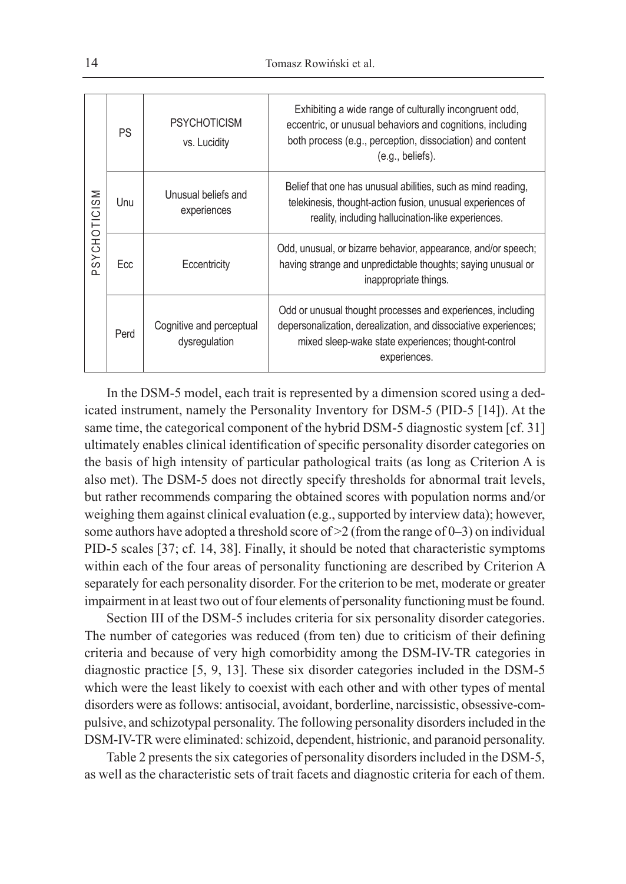| SYCHOTICISM<br>$\Omega$ | PS   | <b>PSYCHOTICISM</b><br>vs. Lucidity       | Exhibiting a wide range of culturally incongruent odd,<br>eccentric, or unusual behaviors and cognitions, including<br>both process (e.g., perception, dissociation) and content<br>(e.g., beliefs).  |  |
|-------------------------|------|-------------------------------------------|-------------------------------------------------------------------------------------------------------------------------------------------------------------------------------------------------------|--|
|                         | Unu  | Unusual beliefs and<br>experiences        | Belief that one has unusual abilities, such as mind reading,<br>telekinesis, thought-action fusion, unusual experiences of<br>reality, including hallucination-like experiences.                      |  |
|                         | Ecc  | Eccentricity                              | Odd, unusual, or bizarre behavior, appearance, and/or speech;<br>having strange and unpredictable thoughts; saying unusual or<br>inappropriate things.                                                |  |
|                         | Perd | Cognitive and perceptual<br>dysregulation | Odd or unusual thought processes and experiences, including<br>depersonalization, derealization, and dissociative experiences;<br>mixed sleep-wake state experiences; thought-control<br>experiences. |  |

In the DSM-5 model, each trait is represented by a dimension scored using a dedicated instrument, namely the Personality Inventory for DSM-5 (PID-5 [14]). At the same time, the categorical component of the hybrid DSM-5 diagnostic system [cf. 31] ultimately enables clinical identification of specific personality disorder categories on the basis of high intensity of particular pathological traits (as long as Criterion A is also met). The DSM-5 does not directly specify thresholds for abnormal trait levels, but rather recommends comparing the obtained scores with population norms and/or weighing them against clinical evaluation (e.g., supported by interview data); however, some authors have adopted a threshold score of >2 (from the range of 0–3) on individual PID-5 scales [37; cf. 14, 38]. Finally, it should be noted that characteristic symptoms within each of the four areas of personality functioning are described by Criterion A separately for each personality disorder. For the criterion to be met, moderate or greater impairment in at least two out of four elements of personality functioning must be found.

Section III of the DSM-5 includes criteria for six personality disorder categories. The number of categories was reduced (from ten) due to criticism of their defining criteria and because of very high comorbidity among the DSM-IV-TR categories in diagnostic practice [5, 9, 13]. These six disorder categories included in the DSM-5 which were the least likely to coexist with each other and with other types of mental disorders were as follows: antisocial, avoidant, borderline, narcissistic, obsessive-compulsive, and schizotypal personality. The following personality disorders included in the DSM-IV-TR were eliminated: schizoid, dependent, histrionic, and paranoid personality.

Table 2 presents the six categories of personality disorders included in the DSM-5, as well as the characteristic sets of trait facets and diagnostic criteria for each of them.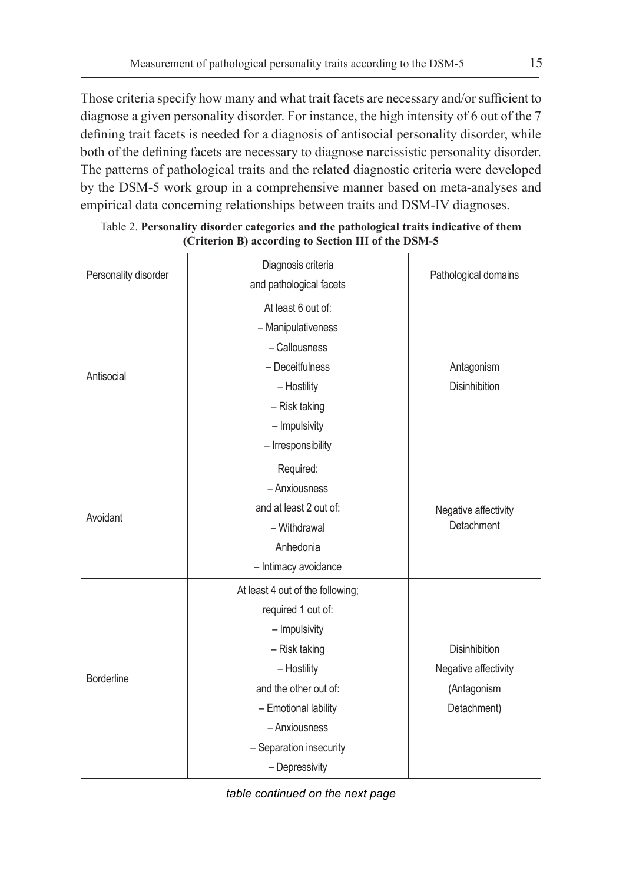Those criteria specify how many and what trait facets are necessary and/or sufficient to diagnose a given personality disorder. For instance, the high intensity of 6 out of the 7 defining trait facets is needed for a diagnosis of antisocial personality disorder, while both of the defining facets are necessary to diagnose narcissistic personality disorder. The patterns of pathological traits and the related diagnostic criteria were developed by the DSM-5 work group in a comprehensive manner based on meta-analyses and empirical data concerning relationships between traits and DSM-IV diagnoses.

| Personality disorder | Diagnosis criteria               |                      |
|----------------------|----------------------------------|----------------------|
|                      | and pathological facets          | Pathological domains |
|                      | At least 6 out of:               |                      |
|                      | - Manipulativeness               |                      |
|                      | - Callousness                    |                      |
| Antisocial           | - Deceitfulness                  | Antagonism           |
|                      | - Hostility                      | <b>Disinhibition</b> |
|                      | - Risk taking                    |                      |
|                      | - Impulsivity                    |                      |
|                      | - Irresponsibility               |                      |
|                      | Required:                        |                      |
|                      | - Anxiousness                    |                      |
| Avoidant             | and at least 2 out of:           | Negative affectivity |
|                      | - Withdrawal                     | Detachment           |
|                      | Anhedonia                        |                      |
|                      | - Intimacy avoidance             |                      |
|                      | At least 4 out of the following; |                      |
|                      | required 1 out of:               |                      |
|                      | - Impulsivity                    |                      |
|                      | - Risk taking                    | <b>Disinhibition</b> |
| <b>Borderline</b>    | - Hostility                      | Negative affectivity |
|                      | and the other out of:            | (Antagonism          |
|                      | - Emotional lability             | Detachment)          |
|                      | - Anxiousness                    |                      |
|                      | - Separation insecurity          |                      |
|                      | - Depressivity                   |                      |

#### Table 2. **Personality disorder categories and the pathological traits indicative of them (Criterion B) according to Section III of the DSM-5**

*table continued on the next page*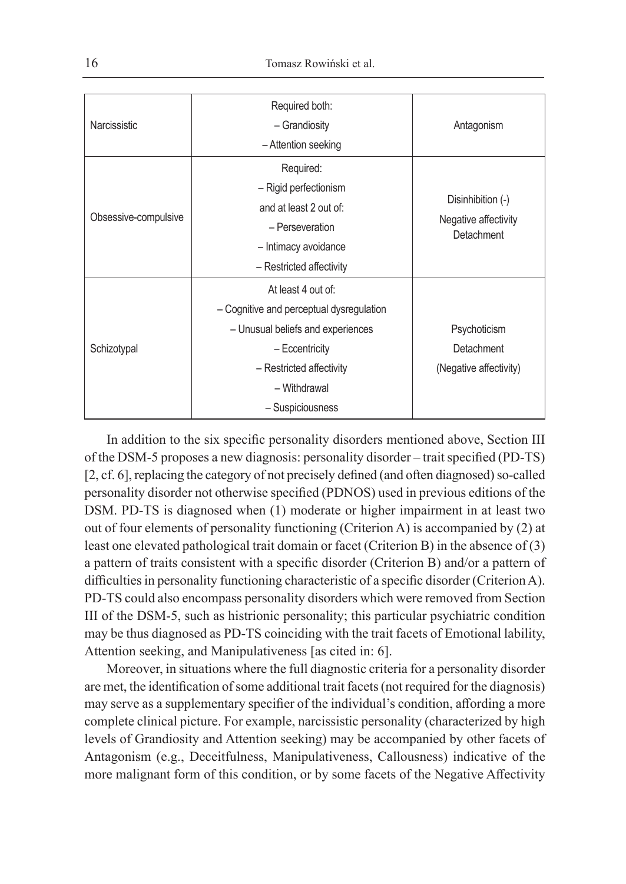| Narcissistic         | Required both:<br>- Grandiosity<br>- Attention seeking                                                                                                                                | Antagonism                                              |
|----------------------|---------------------------------------------------------------------------------------------------------------------------------------------------------------------------------------|---------------------------------------------------------|
| Obsessive-compulsive | Required:<br>- Rigid perfectionism<br>and at least 2 out of:<br>- Perseveration<br>- Intimacy avoidance<br>- Restricted affectivity                                                   | Disinhibition (-)<br>Negative affectivity<br>Detachment |
| Schizotypal          | At least 4 out of:<br>- Cognitive and perceptual dysregulation<br>- Unusual beliefs and experiences<br>- Eccentricity<br>- Restricted affectivity<br>- Withdrawal<br>- Suspiciousness | Psychoticism<br>Detachment<br>(Negative affectivity)    |

In addition to the six specific personality disorders mentioned above, Section III of the DSM-5 proposes a new diagnosis: personality disorder – trait specified (PD-TS) [2, cf. 6], replacing the category of not precisely defined (and often diagnosed) so-called personality disorder not otherwise specified (PDNOS) used in previous editions of the DSM. PD-TS is diagnosed when (1) moderate or higher impairment in at least two out of four elements of personality functioning (Criterion A) is accompanied by (2) at least one elevated pathological trait domain or facet (Criterion B) in the absence of (3) a pattern of traits consistent with a specific disorder (Criterion B) and/or a pattern of difficulties in personality functioning characteristic of a specific disorder (Criterion A). PD-TS could also encompass personality disorders which were removed from Section III of the DSM-5, such as histrionic personality; this particular psychiatric condition may be thus diagnosed as PD-TS coinciding with the trait facets of Emotional lability, Attention seeking, and Manipulativeness [as cited in: 6].

Moreover, in situations where the full diagnostic criteria for a personality disorder are met, the identification of some additional trait facets (not required for the diagnosis) may serve as a supplementary specifier of the individual's condition, affording a more complete clinical picture. For example, narcissistic personality (characterized by high levels of Grandiosity and Attention seeking) may be accompanied by other facets of Antagonism (e.g., Deceitfulness, Manipulativeness, Callousness) indicative of the more malignant form of this condition, or by some facets of the Negative Affectivity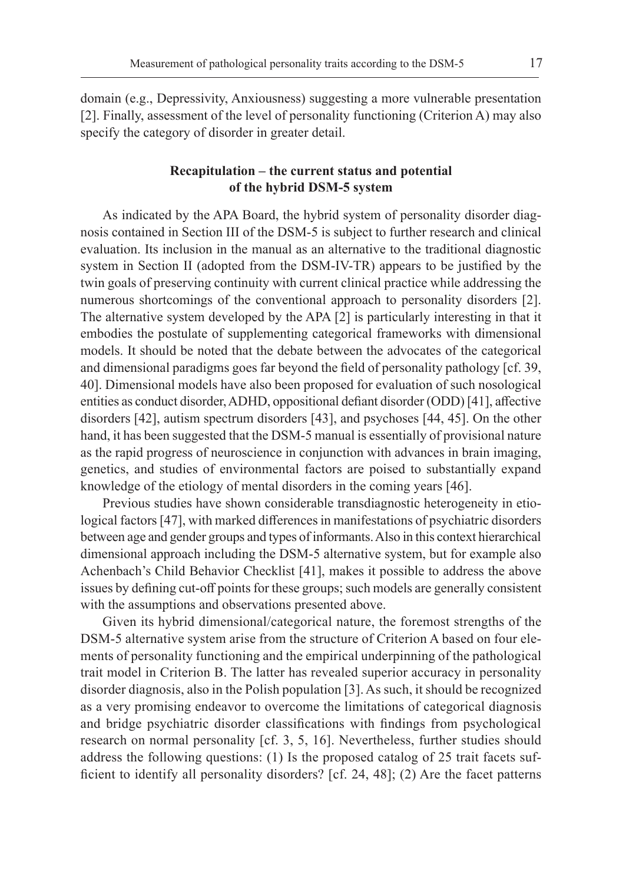domain (e.g., Depressivity, Anxiousness) suggesting a more vulnerable presentation [2]. Finally, assessment of the level of personality functioning (Criterion A) may also specify the category of disorder in greater detail.

# **Recapitulation – the current status and potential of the hybrid DSM-5 system**

As indicated by the APA Board, the hybrid system of personality disorder diagnosis contained in Section III of the DSM‑5 is subject to further research and clinical evaluation. Its inclusion in the manual as an alternative to the traditional diagnostic system in Section II (adopted from the DSM-IV-TR) appears to be justified by the twin goals of preserving continuity with current clinical practice while addressing the numerous shortcomings of the conventional approach to personality disorders [2]. The alternative system developed by the APA [2] is particularly interesting in that it embodies the postulate of supplementing categorical frameworks with dimensional models. It should be noted that the debate between the advocates of the categorical and dimensional paradigms goes far beyond the field of personality pathology [cf. 39, 40]. Dimensional models have also been proposed for evaluation of such nosological entities as conduct disorder, ADHD, oppositional defiant disorder (ODD) [41], affective disorders [42], autism spectrum disorders [43], and psychoses [44, 45]. On the other hand, it has been suggested that the DSM-5 manual is essentially of provisional nature as the rapid progress of neuroscience in conjunction with advances in brain imaging, genetics, and studies of environmental factors are poised to substantially expand knowledge of the etiology of mental disorders in the coming years [46].

Previous studies have shown considerable transdiagnostic heterogeneity in etiological factors [47], with marked differences in manifestations of psychiatric disorders between age and gender groups and types of informants. Also in this context hierarchical dimensional approach including the DSM‑5 alternative system, but for example also Achenbach's Child Behavior Checklist [41], makes it possible to address the above issues by defining cut-off points for these groups; such models are generally consistent with the assumptions and observations presented above.

Given its hybrid dimensional/categorical nature, the foremost strengths of the DSM-5 alternative system arise from the structure of Criterion A based on four elements of personality functioning and the empirical underpinning of the pathological trait model in Criterion B. The latter has revealed superior accuracy in personality disorder diagnosis, also in the Polish population [3]. As such, it should be recognized as a very promising endeavor to overcome the limitations of categorical diagnosis and bridge psychiatric disorder classifications with findings from psychological research on normal personality [cf. 3, 5, 16]. Nevertheless, further studies should address the following questions: (1) Is the proposed catalog of 25 trait facets sufficient to identify all personality disorders? [cf. 24, 48]; (2) Are the facet patterns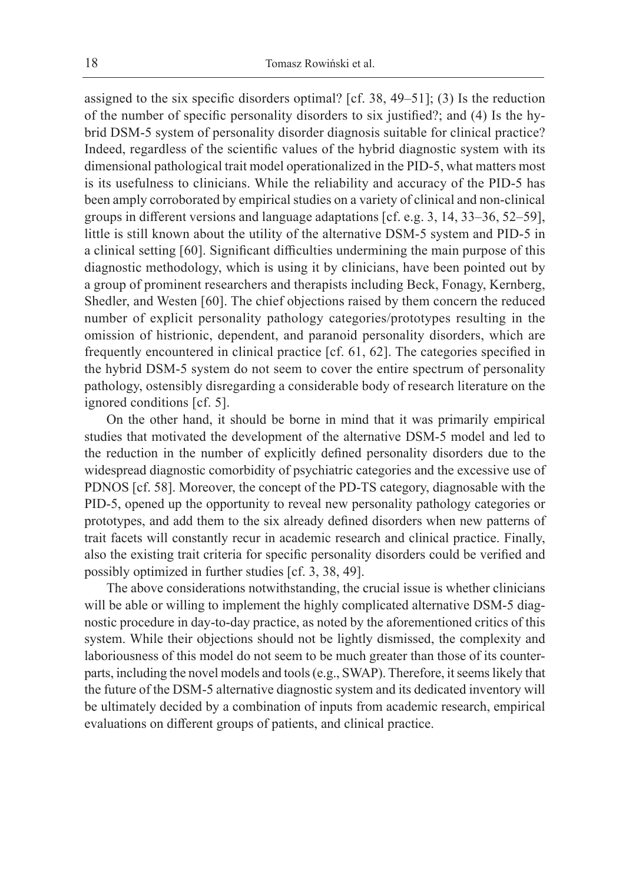assigned to the six specific disorders optimal? [cf. 38, 49–51]; (3) Is the reduction of the number of specific personality disorders to six justified?; and (4) Is the hybrid DSM-5 system of personality disorder diagnosis suitable for clinical practice? Indeed, regardless of the scientific values of the hybrid diagnostic system with its dimensional pathological trait model operationalized in the PID-5, what matters most is its usefulness to clinicians. While the reliability and accuracy of the PID-5 has been amply corroborated by empirical studies on a variety of clinical and non-clinical groups in different versions and language adaptations [cf. e.g. 3, 14, 33–36, 52–59], little is still known about the utility of the alternative DSM-5 system and PID-5 in a clinical setting [60]. Significant difficulties undermining the main purpose of this diagnostic methodology, which is using it by clinicians, have been pointed out by a group of prominent researchers and therapists including Beck, Fonagy, Kernberg, Shedler, and Westen [60]. The chief objections raised by them concern the reduced number of explicit personality pathology categories/prototypes resulting in the omission of histrionic, dependent, and paranoid personality disorders, which are frequently encountered in clinical practice [cf. 61, 62]. The categories specified in the hybrid DSM-5 system do not seem to cover the entire spectrum of personality pathology, ostensibly disregarding a considerable body of research literature on the ignored conditions [cf. 5].

On the other hand, it should be borne in mind that it was primarily empirical studies that motivated the development of the alternative DSM-5 model and led to the reduction in the number of explicitly defined personality disorders due to the widespread diagnostic comorbidity of psychiatric categories and the excessive use of PDNOS [cf. 58]. Moreover, the concept of the PD-TS category, diagnosable with the PID-5, opened up the opportunity to reveal new personality pathology categories or prototypes, and add them to the six already defined disorders when new patterns of trait facets will constantly recur in academic research and clinical practice. Finally, also the existing trait criteria for specific personality disorders could be verified and possibly optimized in further studies [cf. 3, 38, 49].

The above considerations notwithstanding, the crucial issue is whether clinicians will be able or willing to implement the highly complicated alternative DSM-5 diagnostic procedure in day-to-day practice, as noted by the aforementioned critics of this system. While their objections should not be lightly dismissed, the complexity and laboriousness of this model do not seem to be much greater than those of its counterparts, including the novel models and tools (e.g., SWAP). Therefore, it seems likely that the future of the DSM-5 alternative diagnostic system and its dedicated inventory will be ultimately decided by a combination of inputs from academic research, empirical evaluations on different groups of patients, and clinical practice.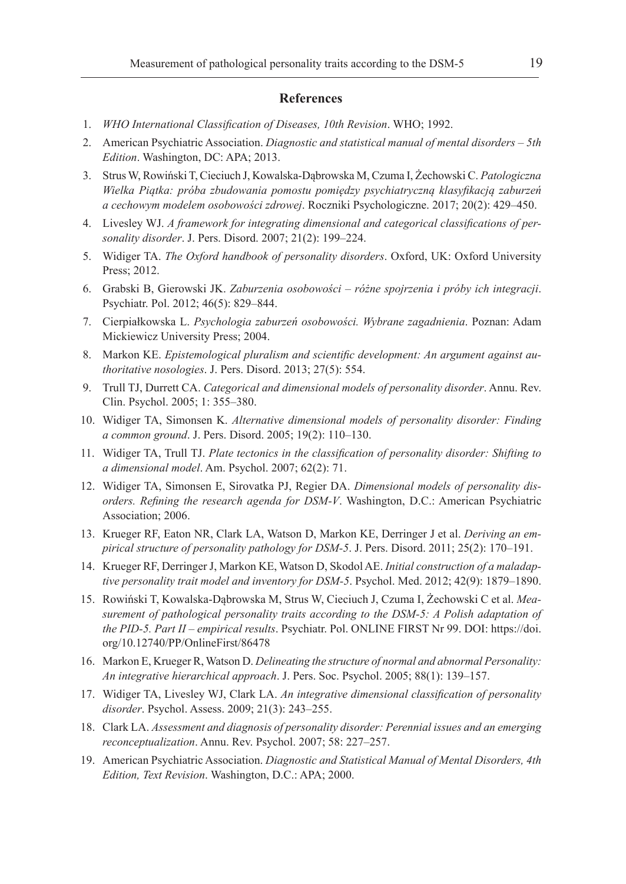#### **References**

- 1. *WHO International Classification of Diseases, 10th Revision*. WHO; 1992.
- 2. American Psychiatric Association. *Diagnostic and statistical manual of mental disorders 5th Edition*. Washington, DC: APA; 2013.
- 3. Strus W, Rowiński T, Cieciuch J, Kowalska-Dąbrowska M, Czuma I, Żechowski C. *Patologiczna Wielka Piątka: próba zbudowania pomostu pomiędzy psychiatryczną klasyfikacją zaburzeń a cechowym modelem osobowości zdrowej*. Roczniki Psychologiczne. 2017; 20(2): 429–450.
- 4. Livesley WJ. *A framework for integrating dimensional and categorical classifications of personality disorder*. J. Pers. Disord. 2007; 21(2): 199–224.
- 5. Widiger TA. *The Oxford handbook of personality disorders*. Oxford, UK: Oxford University Press; 2012.
- 6. Grabski B, Gierowski JK. *Zaburzenia osobowości różne spojrzenia i próby ich integracji*. Psychiatr. Pol. 2012; 46(5): 829–844.
- 7. Cierpiałkowska L. *Psychologia zaburzeń osobowości. Wybrane zagadnienia*. Poznan: Adam Mickiewicz University Press; 2004.
- 8. Markon KE. *Epistemological pluralism and scientific development: An argument against authoritative nosologies*. J. Pers. Disord. 2013; 27(5): 554.
- 9. Trull TJ, Durrett CA. *Categorical and dimensional models of personality disorder*. Annu. Rev. Clin. Psychol. 2005; 1: 355–380.
- 10. Widiger TA, Simonsen K. *Alternative dimensional models of personality disorder: Finding a common ground*. J. Pers. Disord. 2005; 19(2): 110–130.
- 11. Widiger TA, Trull TJ. *Plate tectonics in the classification of personality disorder: Shifting to a dimensional model*. Am. Psychol. 2007; 62(2): 71.
- 12. Widiger TA, Simonsen E, Sirovatka PJ, Regier DA. *Dimensional models of personality disorders. Refining the research agenda for DSM-V*. Washington, D.C.: American Psychiatric Association; 2006.
- 13. Krueger RF, Eaton NR, Clark LA, Watson D, Markon KE, Derringer J et al. *Deriving an empirical structure of personality pathology for DSM-5*. J. Pers. Disord. 2011; 25(2): 170–191.
- 14. Krueger RF, Derringer J, Markon KE, Watson D, Skodol AE. *Initial construction of a maladaptive personality trait model and inventory for DSM-5*. Psychol. Med. 2012; 42(9): 1879–1890.
- 15. Rowiński T, Kowalska-Dąbrowska M, Strus W, Cieciuch J, Czuma I, Żechowski C et al. *Measurement of pathological personality traits according to the DSM-5: A Polish adaptation of the PID-5. Part II – empirical results*. Psychiatr. Pol. ONLINE FIRST Nr 99. DOI: https://doi. org/10.12740/PP/OnlineFirst/86478
- 16. Markon E, Krueger R, Watson D. *Delineating the structure of normal and abnormal Personality: An integrative hierarchical approach*. J. Pers. Soc. Psychol. 2005; 88(1): 139–157.
- 17. Widiger TA, Livesley WJ, Clark LA. *An integrative dimensional classification of personality disorder*. Psychol. Assess. 2009; 21(3): 243–255.
- 18. Clark LA. *Assessment and diagnosis of personality disorder: Perennial issues and an emerging reconceptualization*. Annu. Rev. Psychol. 2007; 58: 227–257.
- 19. American Psychiatric Association. *Diagnostic and Statistical Manual of Mental Disorders, 4th Edition, Text Revision*. Washington, D.C.: APA; 2000.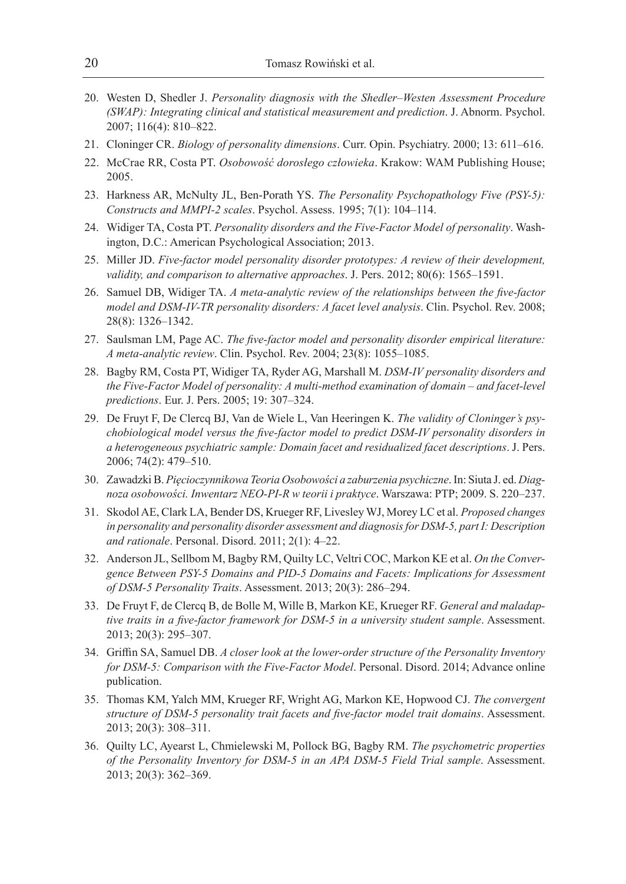- 20. Westen D, Shedler J. *Personality diagnosis with the Shedler–Westen Assessment Procedure (SWAP): Integrating clinical and statistical measurement and prediction*. J. Abnorm. Psychol. 2007; 116(4): 810–822.
- 21. Cloninger CR. *Biology of personality dimensions*. Curr. Opin. Psychiatry. 2000; 13: 611–616.
- 22. McCrae RR, Costa PT. *Osobowość dorosłego człowieka*. Krakow: WAM Publishing House; 2005.
- 23. Harkness AR, McNulty JL, Ben-Porath YS. *The Personality Psychopathology Five (PSY-5): Constructs and MMPI-2 scales*. Psychol. Assess. 1995; 7(1): 104–114.
- 24. Widiger TA, Costa PT. *Personality disorders and the Five-Factor Model of personality*. Washington, D.C.: American Psychological Association; 2013.
- 25. Miller JD. *Five-factor model personality disorder prototypes: A review of their development, validity, and comparison to alternative approaches*. J. Pers. 2012; 80(6): 1565–1591.
- 26. Samuel DB, Widiger TA. *A meta-analytic review of the relationships between the five-factor model and DSM-IV-TR personality disorders: A facet level analysis*. Clin. Psychol. Rev. 2008; 28(8): 1326–1342.
- 27. Saulsman LM, Page AC. *The five-factor model and personality disorder empirical literature: A meta-analytic review*. Clin. Psychol. Rev. 2004; 23(8): 1055–1085.
- 28. Bagby RM, Costa PT, Widiger TA, Ryder AG, Marshall M. *DSM-IV personality disorders and the Five-Factor Model of personality: A multi-method examination of domain – and facet-level predictions*. Eur. J. Pers. 2005; 19: 307–324.
- 29. De Fruyt F, De Clercq BJ, Van de Wiele L, Van Heeringen K. *The validity of Cloninger's psychobiological model versus the five-factor model to predict DSM-IV personality disorders in a heterogeneous psychiatric sample: Domain facet and residualized facet descriptions*. J. Pers. 2006; 74(2): 479–510.
- 30. Zawadzki B. *Pięcioczynnikowa Teoria Osobowości a zaburzenia psychiczne*. In: Siuta J. ed. *Diagnoza osobowości. Inwentarz NEO-PI-R w teorii i praktyce*. Warszawa: PTP; 2009. S. 220–237.
- 31. Skodol AE, Clark LA, Bender DS, Krueger RF, Livesley WJ, Morey LC et al. *Proposed changes in personality and personality disorder assessment and diagnosis for DSM-5, part I: Description and rationale*. Personal. Disord. 2011; 2(1): 4–22.
- 32. Anderson JL, Sellbom M, Bagby RM, Quilty LC, Veltri COC, Markon KE et al. *On the Convergence Between PSY-5 Domains and PID-5 Domains and Facets: Implications for Assessment of DSM-5 Personality Traits*. Assessment. 2013; 20(3): 286–294.
- 33. De Fruyt F, de Clercq B, de Bolle M, Wille B, Markon KE, Krueger RF. *General and maladaptive traits in a five-factor framework for DSM-5 in a university student sample*. Assessment. 2013; 20(3): 295–307.
- 34. Griffin SA, Samuel DB. *A closer look at the lower-order structure of the Personality Inventory for DSM-5: Comparison with the Five-Factor Model*. Personal. Disord. 2014; Advance online publication.
- 35. Thomas KM, Yalch MM, Krueger RF, Wright AG, Markon KE, Hopwood CJ. *The convergent structure of DSM-5 personality trait facets and five-factor model trait domains*. Assessment. 2013; 20(3): 308–311.
- 36. Quilty LC, Ayearst L, Chmielewski M, Pollock BG, Bagby RM. *The psychometric properties of the Personality Inventory for DSM-5 in an APA DSM-5 Field Trial sample*. Assessment. 2013; 20(3): 362–369.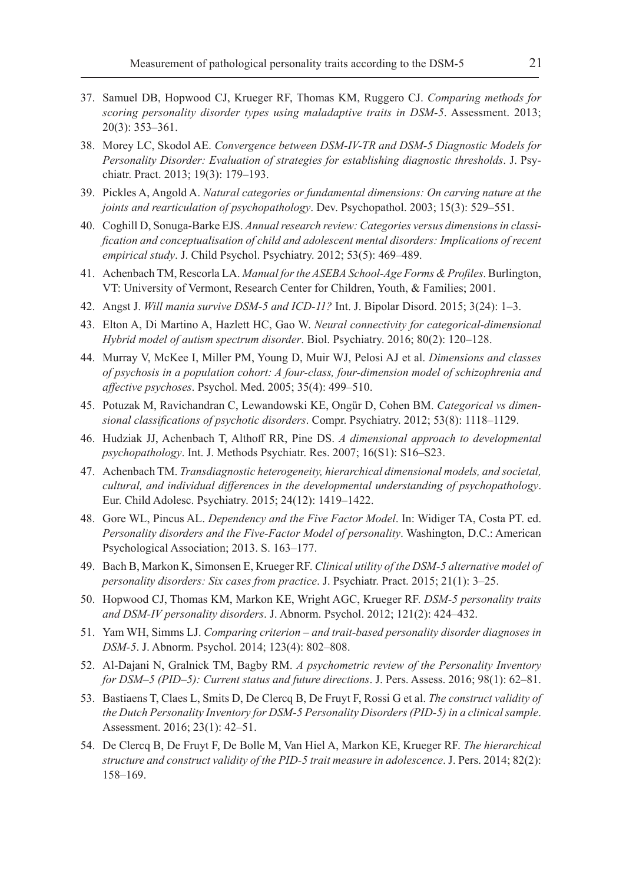- 37. Samuel DB, Hopwood CJ, Krueger RF, Thomas KM, Ruggero CJ. *Comparing methods for scoring personality disorder types using maladaptive traits in DSM-5*. Assessment. 2013; 20(3): 353–361.
- 38. Morey LC, Skodol AE. *Convergence between DSM-IV-TR and DSM-5 Diagnostic Models for Personality Disorder: Evaluation of strategies for establishing diagnostic thresholds*. J. Psychiatr. Pract. 2013; 19(3): 179–193.
- 39. Pickles A, Angold A. *Natural categories or fundamental dimensions: On carving nature at the joints and rearticulation of psychopathology*. Dev. Psychopathol. 2003; 15(3): 529–551.
- 40. Coghill D, Sonuga-Barke EJS. *Annual research review: Categories versus dimensions in classification and conceptualisation of child and adolescent mental disorders: Implications of recent empirical study*. J. Child Psychol. Psychiatry. 2012; 53(5): 469–489.
- 41. Achenbach TM, Rescorla LA. *Manual for the ASEBA School-Age Forms & Profiles*. Burlington, VT: University of Vermont, Research Center for Children, Youth, & Families; 2001.
- 42. Angst J. *Will mania survive DSM-5 and ICD-11?* Int. J. Bipolar Disord. 2015; 3(24): 1–3.
- 43. Elton A, Di Martino A, Hazlett HC, Gao W. *Neural connectivity for categorical-dimensional Hybrid model of autism spectrum disorder*. Biol. Psychiatry. 2016; 80(2): 120–128.
- 44. Murray V, McKee I, Miller PM, Young D, Muir WJ, Pelosi AJ et al. *Dimensions and classes of psychosis in a population cohort: A four-class, four-dimension model of schizophrenia and affective psychoses*. Psychol. Med. 2005; 35(4): 499–510.
- 45. Potuzak M, Ravichandran C, Lewandowski KE, Ongür D, Cohen BM. *Categorical vs dimensional classifications of psychotic disorders*. Compr. Psychiatry. 2012; 53(8): 1118–1129.
- 46. Hudziak JJ, Achenbach T, Althoff RR, Pine DS. *A dimensional approach to developmental psychopathology*. Int. J. Methods Psychiatr. Res. 2007; 16(S1): S16–S23.
- 47. Achenbach TM. *Transdiagnostic heterogeneity, hierarchical dimensional models, and societal, cultural, and individual differences in the developmental understanding of psychopathology*. Eur. Child Adolesc. Psychiatry. 2015; 24(12): 1419–1422.
- 48. Gore WL, Pincus AL. *Dependency and the Five Factor Model*. In: Widiger TA, Costa PT. ed. *Personality disorders and the Five-Factor Model of personality*. Washington, D.C.: American Psychological Association; 2013. S. 163–177.
- 49. Bach B, Markon K, Simonsen E, Krueger RF. *Clinical utility of the DSM-5 alternative model of personality disorders: Six cases from practice*. J. Psychiatr. Pract. 2015; 21(1): 3–25.
- 50. Hopwood CJ, Thomas KM, Markon KE, Wright AGC, Krueger RF. *DSM-5 personality traits and DSM-IV personality disorders*. J. Abnorm. Psychol. 2012; 121(2): 424–432.
- 51. Yam WH, Simms LJ. *Comparing criterion and trait-based personality disorder diagnoses in DSM-5*. J. Abnorm. Psychol. 2014; 123(4): 802–808.
- 52. Al-Dajani N, Gralnick TM, Bagby RM. *A psychometric review of the Personality Inventory for DSM–5 (PID–5): Current status and future directions*. J. Pers. Assess. 2016; 98(1): 62–81.
- 53. Bastiaens T, Claes L, Smits D, De Clercq B, De Fruyt F, Rossi G et al. *The construct validity of the Dutch Personality Inventory for DSM-5 Personality Disorders (PID-5) in a clinical sample*. Assessment. 2016; 23(1): 42–51.
- 54. De Clercq B, De Fruyt F, De Bolle M, Van Hiel A, Markon KE, Krueger RF. *The hierarchical structure and construct validity of the PID‐5 trait measure in adolescence*. J. Pers. 2014; 82(2): 158–169.